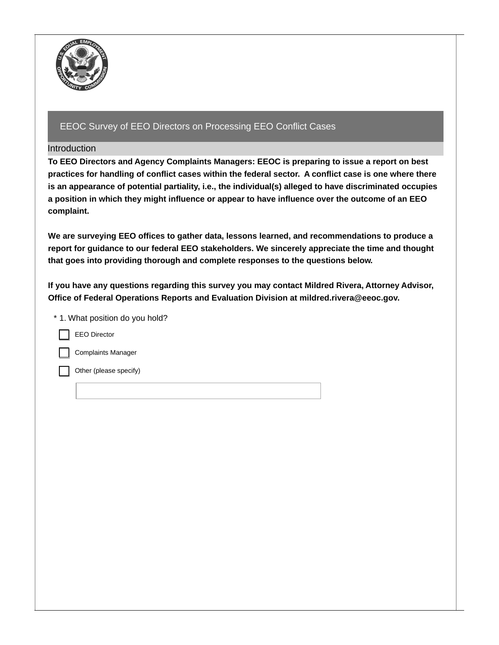

## Introduction

 **To EEO Directors and Agency Complaints Managers: EEOC is preparing to issue a report on best** practices for handling of conflict cases within the federal sector. A conflict case is one where there  **is an appearance of potential partiality, i.e., the individual(s) alleged to have discriminated occupies** a position in which they might influence or appear to have influence over the outcome of an EEO  $\,$ **complaint.**

 **We are surveying EEO offices to gather data, lessons learned, and recommendations to produce a report for guidance to our federal EEO stakeholders. We sincerely appreciate the time and thought that goes into providing thorough and complete responses to the questions below.**

 **If you have any questions regarding this survey you may contact Mildred Rivera, Attorney Advisor, Office of Federal Operations Reports and Evaluation Division at [mildred.rivera@eeoc.gov.](mailto:mildred.rivera@eeoc.gov)**

| * 1. What position do you hold? |
|---------------------------------|
| <b>EEO Director</b>             |
| <b>Complaints Manager</b>       |
| Other (please specify)          |
|                                 |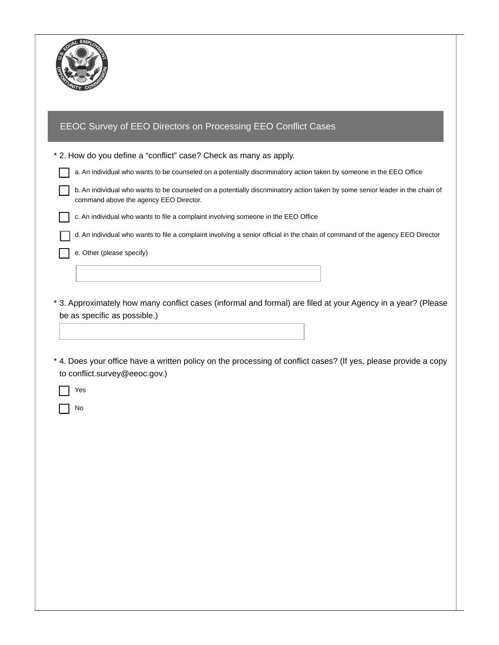

| EEOC Survey of EEO Directors on Processing EEO Conflict Cases                                                                                                           |
|-------------------------------------------------------------------------------------------------------------------------------------------------------------------------|
|                                                                                                                                                                         |
| * 2. How do you define a "conflict" case? Check as many as apply.                                                                                                       |
| a. An individual who wants to be counseled on a potentially discriminatory action taken by someone in the EEO Office                                                    |
| b. An individual who wants to be counseled on a potentially discriminatory action taken by some senior leader in the chain of<br>command above the agency EEO Director. |
| c. An individual who wants to file a complaint involving someone in the EEO Office                                                                                      |
| d. An individual who wants to file a complaint involving a senior official in the chain of command of the agency EEO Director                                           |
| e. Other (please specify)                                                                                                                                               |
|                                                                                                                                                                         |
| * 3. Approximately how many conflict cases (informal and formal) are filed at your Agency in a year? (Please<br>be as specific as possible.)                            |
| * 4. Does your office have a written policy on the processing of conflict cases? (If yes, please provide a copy<br>to conflict.survey@eeoc.gov.)<br>Yes                 |
| No                                                                                                                                                                      |
|                                                                                                                                                                         |
|                                                                                                                                                                         |
|                                                                                                                                                                         |
|                                                                                                                                                                         |
|                                                                                                                                                                         |
|                                                                                                                                                                         |
|                                                                                                                                                                         |
|                                                                                                                                                                         |
|                                                                                                                                                                         |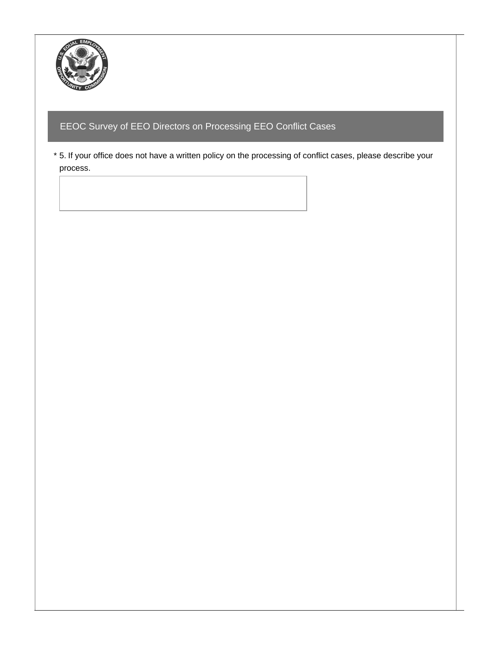

 \* 5. If your office does not have a written policy on the processing of conflict cases, please describe your process.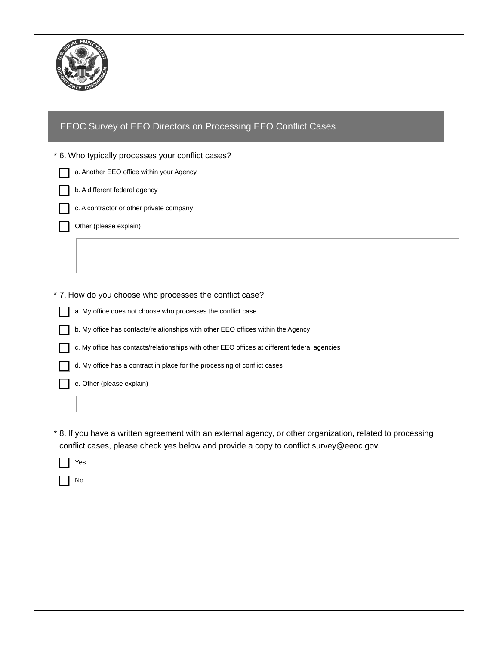

| * 6. Who typically processes your conflict cases?                                                          |
|------------------------------------------------------------------------------------------------------------|
| a. Another EEO office within your Agency                                                                   |
| b. A different federal agency                                                                              |
| c. A contractor or other private company                                                                   |
| Other (please explain)                                                                                     |
|                                                                                                            |
|                                                                                                            |
|                                                                                                            |
| * 7. How do you choose who processes the conflict case?                                                    |
| a. My office does not choose who processes the conflict case                                               |
| b. My office has contacts/relationships with other EEO offices within the Agency                           |
| c. My office has contacts/relationships with other EEO offices at different federal agencies               |
| d. My office has a contract in place for the processing of conflict cases                                  |
| e. Other (please explain)                                                                                  |
|                                                                                                            |
|                                                                                                            |
| * 8. If you have a written agreement with an external agency, or other organization, related to processing |
| conflict cases, please check yes below and provide a copy to conflict.survey@eeoc.gov.                     |
| Yes                                                                                                        |
| No                                                                                                         |
|                                                                                                            |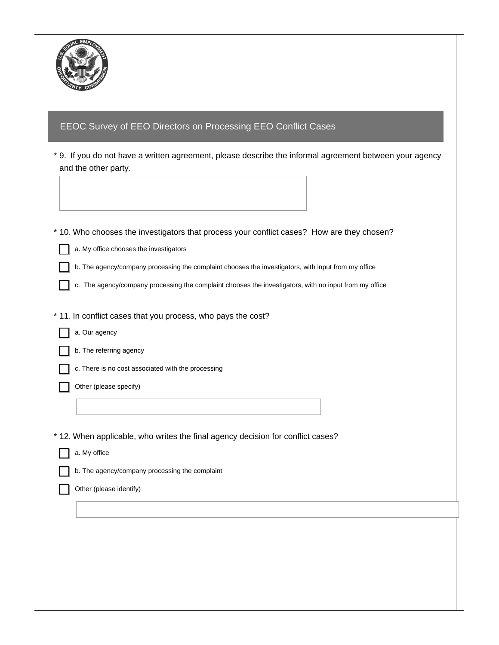

| and the other party. | * 9. If you do not have a written agreement, please describe the informal agreement between your agency |
|----------------------|---------------------------------------------------------------------------------------------------------|
|                      |                                                                                                         |
|                      |                                                                                                         |
|                      | * 10. Who chooses the investigators that process your conflict cases? How are they chosen?              |
|                      | a. My office chooses the investigators                                                                  |
|                      | b. The agency/company processing the complaint chooses the investigators, with input from my office     |
|                      | c. The agency/company processing the complaint chooses the investigators, with no input from my office  |
|                      | * 11. In conflict cases that you process, who pays the cost?                                            |
| a. Our agency        |                                                                                                         |
|                      | b. The referring agency                                                                                 |
|                      | c. There is no cost associated with the processing                                                      |
|                      | Other (please specify)                                                                                  |
|                      |                                                                                                         |
|                      | * 12. When applicable, who writes the final agency decision for conflict cases?                         |
| a. My office         |                                                                                                         |
|                      | b. The agency/company processing the complaint                                                          |
|                      | Other (please identify)                                                                                 |
|                      |                                                                                                         |
|                      |                                                                                                         |
|                      |                                                                                                         |
|                      |                                                                                                         |
|                      |                                                                                                         |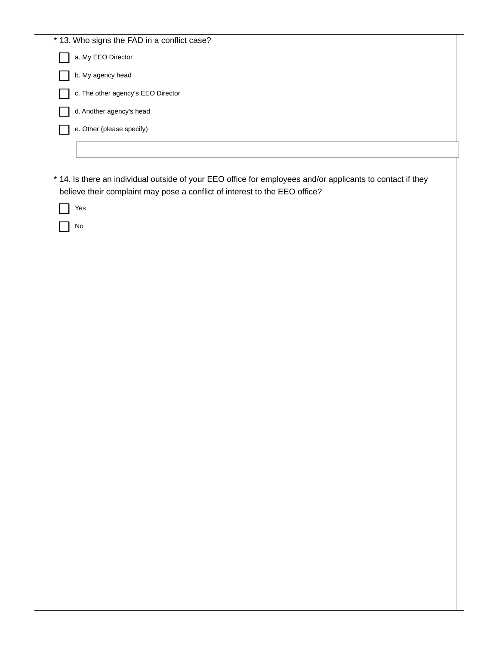|          | * 13. Who signs the FAD in a conflict case?                                                                |  |  |
|----------|------------------------------------------------------------------------------------------------------------|--|--|
|          | a. My EEO Director                                                                                         |  |  |
|          | b. My agency head                                                                                          |  |  |
|          | c. The other agency's EEO Director                                                                         |  |  |
|          | d. Another agency's head                                                                                   |  |  |
|          | e. Other (please specify)                                                                                  |  |  |
|          |                                                                                                            |  |  |
|          |                                                                                                            |  |  |
|          | * 14. Is there an individual outside of your EEO office for employees and/or applicants to contact if they |  |  |
|          | believe their complaint may pose a conflict of interest to the EEO office?                                 |  |  |
| Yes      |                                                                                                            |  |  |
| $\rm No$ |                                                                                                            |  |  |
|          |                                                                                                            |  |  |
|          |                                                                                                            |  |  |
|          |                                                                                                            |  |  |
|          |                                                                                                            |  |  |
|          |                                                                                                            |  |  |
|          |                                                                                                            |  |  |
|          |                                                                                                            |  |  |
|          |                                                                                                            |  |  |
|          |                                                                                                            |  |  |
|          |                                                                                                            |  |  |
|          |                                                                                                            |  |  |
|          |                                                                                                            |  |  |
|          |                                                                                                            |  |  |
|          |                                                                                                            |  |  |
|          |                                                                                                            |  |  |
|          |                                                                                                            |  |  |
|          |                                                                                                            |  |  |
|          |                                                                                                            |  |  |
|          |                                                                                                            |  |  |
|          |                                                                                                            |  |  |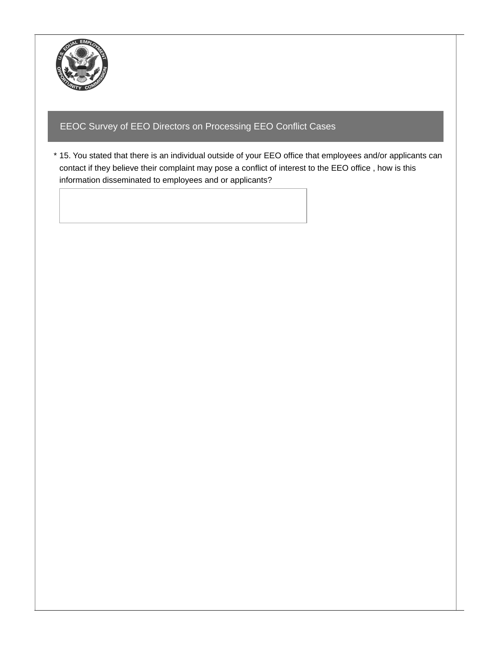

 \* 15. You stated that there is an individual outside of your EEO office that employees and/or applicants can contact if they believe their complaint may pose a conflict of interest to the EEO office , how is this information disseminated to employees and or applicants?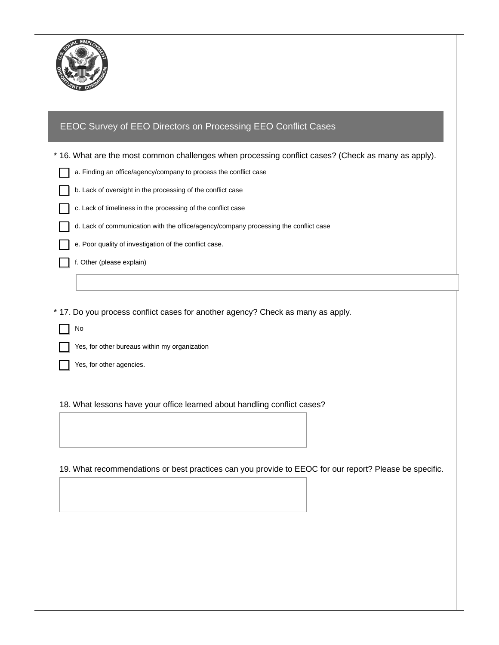

|  | EEOC Survey of EEO Directors on Processing EEO Conflict Cases |  |
|--|---------------------------------------------------------------|--|
|--|---------------------------------------------------------------|--|

 \* 16. What are the most common challenges when processing conflict cases? (Check as many as apply). a. Finding an office/agency/company to process the conflict case b. Lack of oversight in the processing of the conflict case c. Lack of timeliness in the processing of the conflict case d. Lack of communication with the office/agency/company processing the conflict case e. Poor quality of investigation of the conflict case. f. Other (please explain)

\* 17. Do you process conflict cases for another agency? Check as many as apply.

No

Yes, for other bureaus within my organization

Yes, for other agencies.

18. What lessons have your office learned about handling conflict cases?

19. What recommendations or best practices can you provide to EEOC for our report? Please be specific.